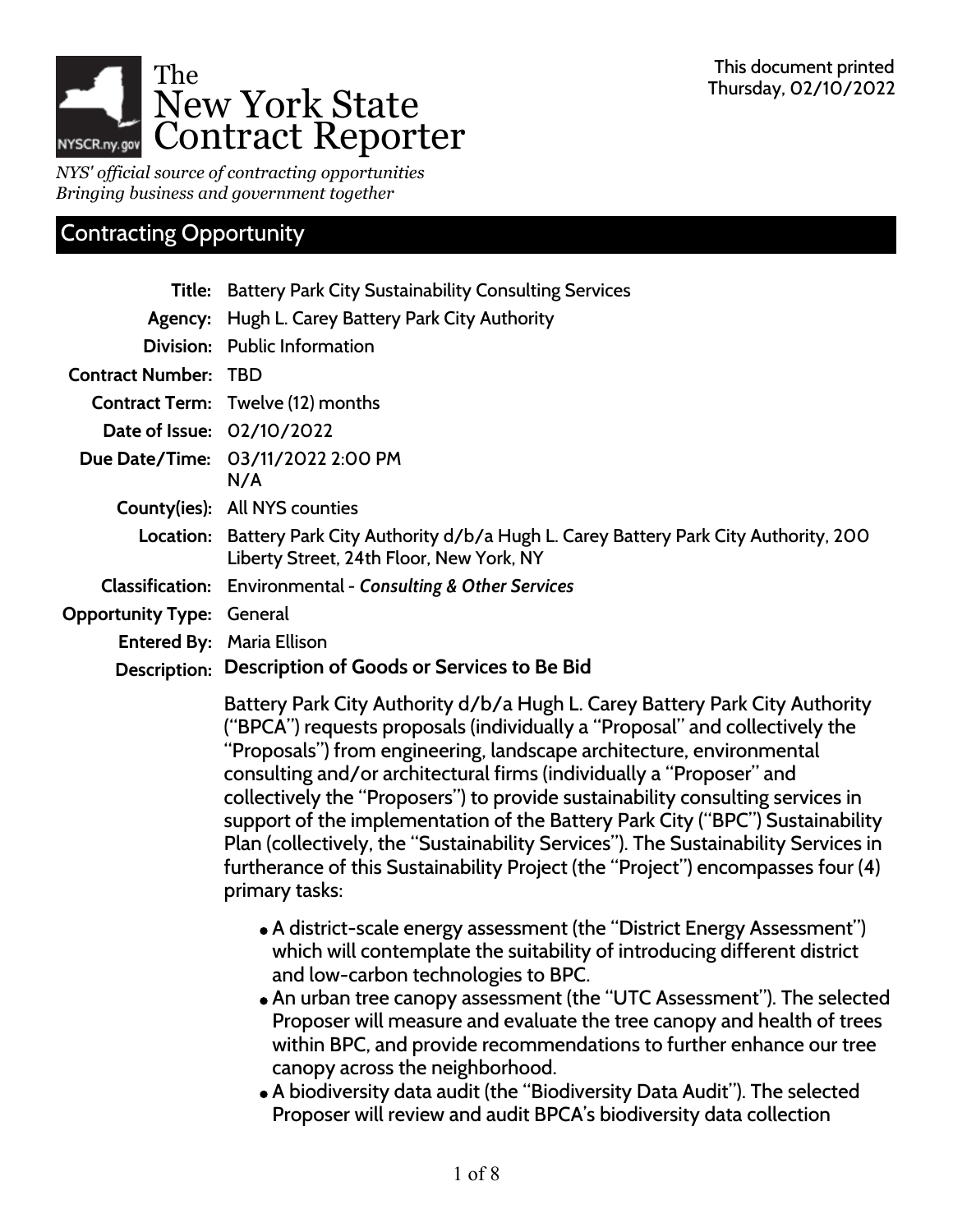

*NYS' official source of contracting opportunities Bringing business and government together*

# Contracting Opportunity

|                                  | <b>Title:</b> Battery Park City Sustainability Consulting Services                                                                     |
|----------------------------------|----------------------------------------------------------------------------------------------------------------------------------------|
|                                  | Agency: Hugh L. Carey Battery Park City Authority                                                                                      |
|                                  | Division: Public Information                                                                                                           |
| <b>Contract Number: TBD</b>      |                                                                                                                                        |
|                                  | <b>Contract Term:</b> Twelve (12) months                                                                                               |
| Date of Issue: 02/10/2022        |                                                                                                                                        |
|                                  | Due Date/Time: 03/11/2022 2:00 PM                                                                                                      |
|                                  | N/A                                                                                                                                    |
|                                  | <b>County(ies): All NYS counties</b>                                                                                                   |
|                                  | Location: Battery Park City Authority d/b/a Hugh L. Carey Battery Park City Authority, 200<br>Liberty Street, 24th Floor, New York, NY |
|                                  | <b>Classification:</b> Environmental - Consulting & Other Services                                                                     |
| <b>Opportunity Type: General</b> |                                                                                                                                        |
|                                  | <b>Entered By: Maria Ellison</b>                                                                                                       |
| Description:                     | Description of Goods or Services to Be Bid                                                                                             |

Battery Park City Authority d/b/a Hugh L. Carey Battery Park City Authority ("BPCA") requests proposals (individually a "Proposal" and collectively the "Proposals") from engineering, landscape architecture, environmental consulting and/or architectural firms (individually a "Proposer" and collectively the "Proposers") to provide sustainability consulting services in support of the implementation of the Battery Park City ("BPC") Sustainability Plan (collectively, the "Sustainability Services"). The Sustainability Services in furtherance of this Sustainability Project (the "Project") encompasses four (4) primary tasks:

- A district-scale energy assessment (the "District Energy Assessment") which will contemplate the suitability of introducing different district and low-carbon technologies to BPC.
- An urban tree canopy assessment (the "UTC Assessment"). The selected Proposer will measure and evaluate the tree canopy and health of trees within BPC, and provide recommendations to further enhance our tree canopy across the neighborhood.
- A biodiversity data audit (the "Biodiversity Data Audit"). The selected Proposer will review and audit BPCA's biodiversity data collection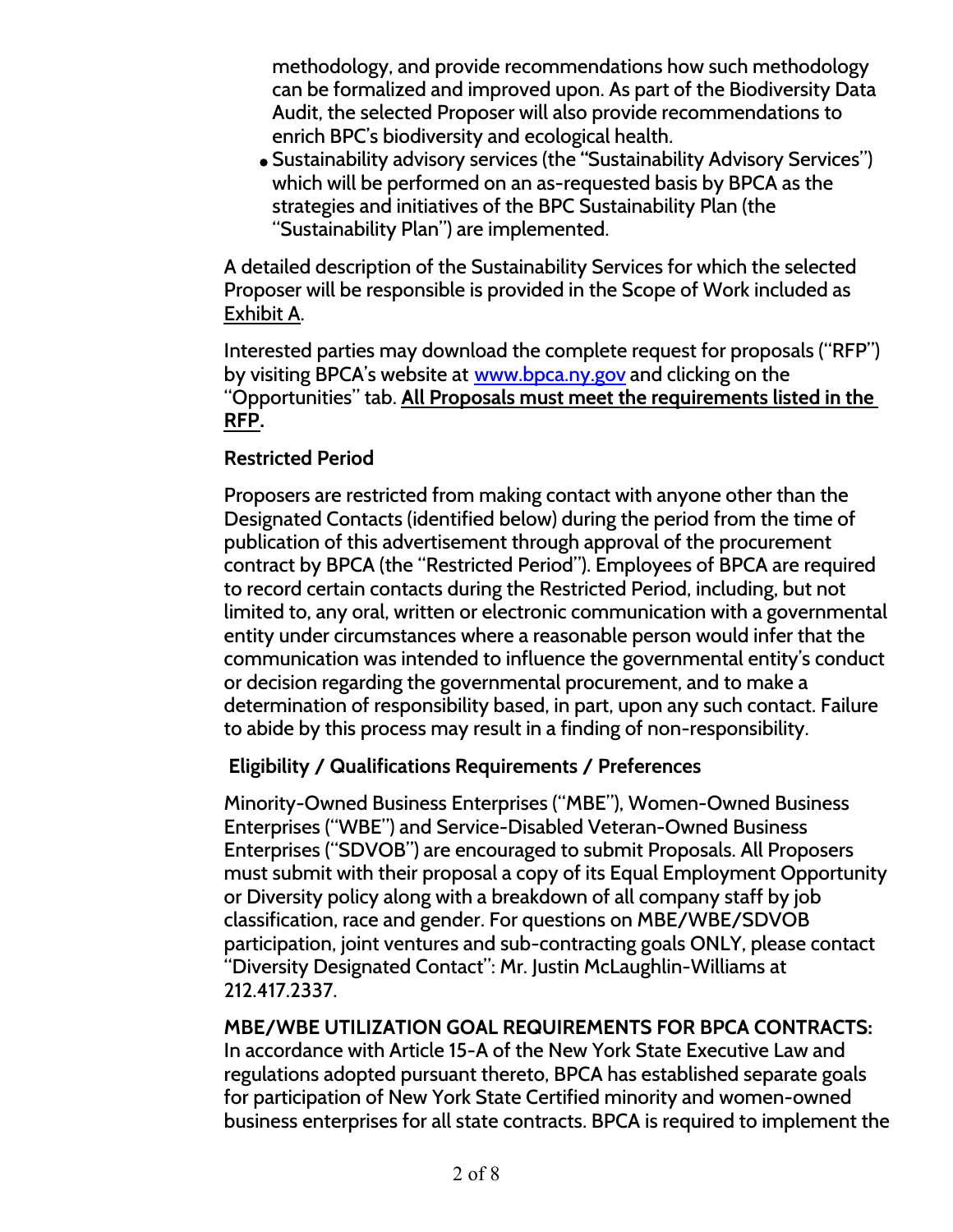methodology, and provide recommendations how such methodology can be formalized and improved upon. As part of the Biodiversity Data Audit, the selected Proposer will also provide recommendations to enrich BPC's biodiversity and ecological health.

Sustainability advisory services (the **"**Sustainability Advisory Services") which will be performed on an as-requested basis by BPCA as the strategies and initiatives of the BPC Sustainability Plan (the "Sustainability Plan") are implemented.

A detailed description of the Sustainability Services for which the selected Proposer will be responsible is provided in the Scope of Work included as Exhibit A.

Interested parties may download the complete request for proposals ("RFP") by visiting BPCA's website at [www.bpca.ny.gov](http://www.bpca.ny.gov) and clicking on the "Opportunities" tab. **All Proposals must meet the requirements listed in the RFP.**

### **Restricted Period**

Proposers are restricted from making contact with anyone other than the Designated Contacts (identified below) during the period from the time of publication of this advertisement through approval of the procurement contract by BPCA (the "Restricted Period"). Employees of BPCA are required to record certain contacts during the Restricted Period, including, but not limited to, any oral, written or electronic communication with a governmental entity under circumstances where a reasonable person would infer that the communication was intended to influence the governmental entity's conduct or decision regarding the governmental procurement, and to make a determination of responsibility based, in part, upon any such contact. Failure to abide by this process may result in a finding of non-responsibility.

### **Eligibility / Qualifications Requirements / Preferences**

Minority-Owned Business Enterprises ("MBE"), Women-Owned Business Enterprises ("WBE") and Service-Disabled Veteran-Owned Business Enterprises ("SDVOB") are encouraged to submit Proposals. All Proposers must submit with their proposal a copy of its Equal Employment Opportunity or Diversity policy along with a breakdown of all company staff by job classification, race and gender. For questions on MBE/WBE/SDVOB participation, joint ventures and sub-contracting goals ONLY, please contact "Diversity Designated Contact": Mr. Justin McLaughlin-Williams at 212.417.2337.

### **MBE/WBE UTILIZATION GOAL REQUIREMENTS FOR BPCA CONTRACTS:**

In accordance with Article 15-A of the New York State Executive Law and regulations adopted pursuant thereto, BPCA has established separate goals for participation of New York State Certified minority and women-owned business enterprises for all state contracts. BPCA is required to implement the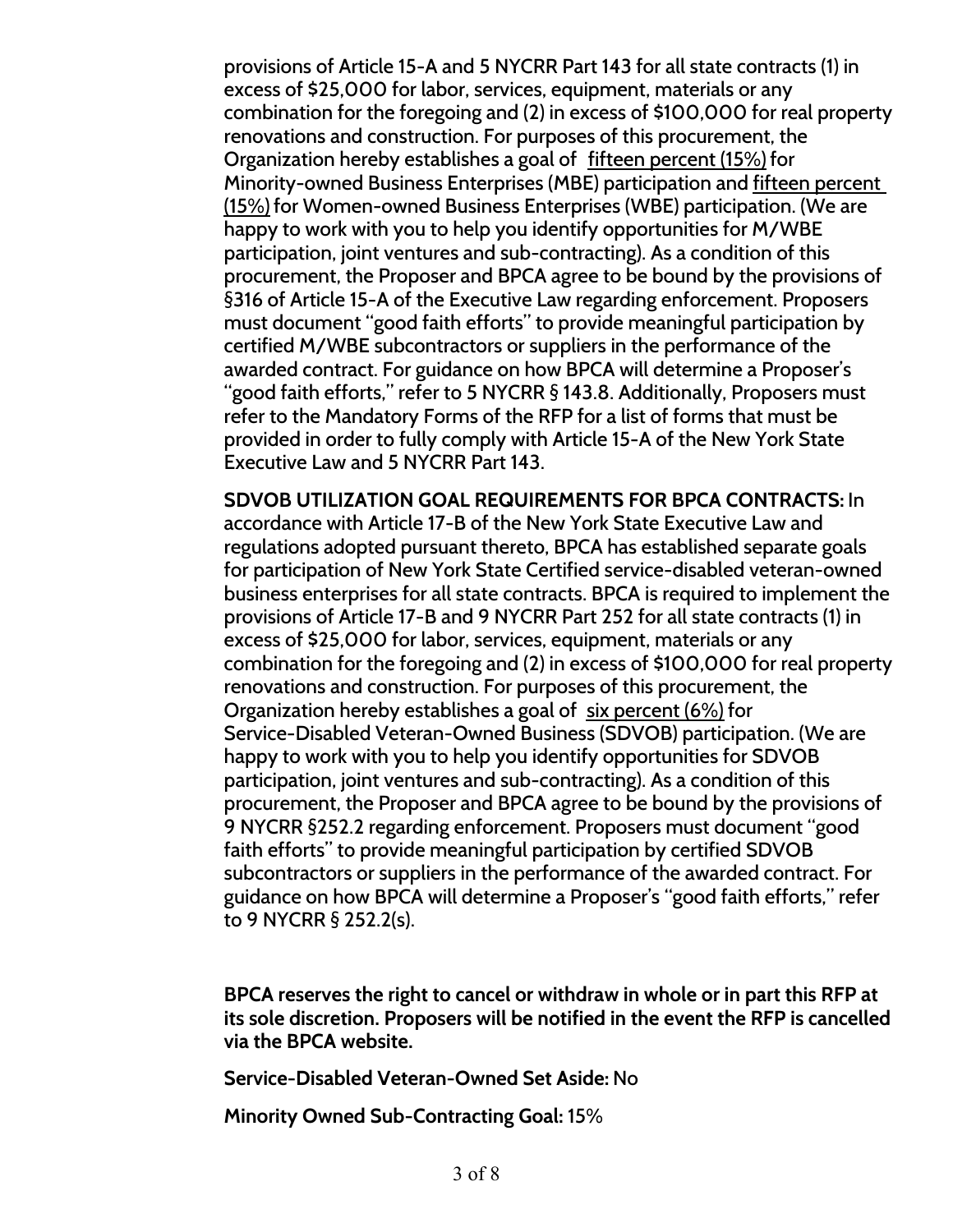provisions of Article 15-A and 5 NYCRR Part 143 for all state contracts (1) in excess of \$25,000 for labor, services, equipment, materials or any combination for the foregoing and (2) in excess of \$100,000 for real property renovations and construction. For purposes of this procurement, the Organization hereby establishes a goal of fifteen percent (15%) for Minority-owned Business Enterprises (MBE) participation and fifteen percent (15%) for Women-owned Business Enterprises (WBE) participation. (We are happy to work with you to help you identify opportunities for M/WBE participation, joint ventures and sub-contracting). As a condition of this procurement, the Proposer and BPCA agree to be bound by the provisions of §316 of Article 15-A of the Executive Law regarding enforcement. Proposers must document "good faith efforts" to provide meaningful participation by certified M/WBE subcontractors or suppliers in the performance of the awarded contract. For guidance on how BPCA will determine a Proposer's "good faith efforts," refer to 5 NYCRR § 143.8. Additionally, Proposers must refer to the Mandatory Forms of the RFP for a list of forms that must be provided in order to fully comply with Article 15-A of the New York State Executive Law and 5 NYCRR Part 143.

**SDVOB UTILIZATION GOAL REQUIREMENTS FOR BPCA CONTRACTS:** In accordance with Article 17-B of the New York State Executive Law and regulations adopted pursuant thereto, BPCA has established separate goals for participation of New York State Certified service-disabled veteran-owned business enterprises for all state contracts. BPCA is required to implement the provisions of Article 17-B and 9 NYCRR Part 252 for all state contracts (1) in excess of \$25,000 for labor, services, equipment, materials or any combination for the foregoing and (2) in excess of \$100,000 for real property renovations and construction. For purposes of this procurement, the Organization hereby establishes a goal of six percent (6%) for Service-Disabled Veteran-Owned Business (SDVOB) participation. (We are happy to work with you to help you identify opportunities for SDVOB participation, joint ventures and sub-contracting). As a condition of this procurement, the Proposer and BPCA agree to be bound by the provisions of 9 NYCRR §252.2 regarding enforcement. Proposers must document "good faith efforts" to provide meaningful participation by certified SDVOB subcontractors or suppliers in the performance of the awarded contract. For guidance on how BPCA will determine a Proposer's "good faith efforts," refer to 9 NYCRR § 252.2(s).

**BPCA reserves the right to cancel or withdraw in whole or in part this RFP at its sole discretion. Proposers will be notified in the event the RFP is cancelled via the BPCA website.**

**Service-Disabled Veteran-Owned Set Aside:** No

**Minority Owned Sub-Contracting Goal:** 15%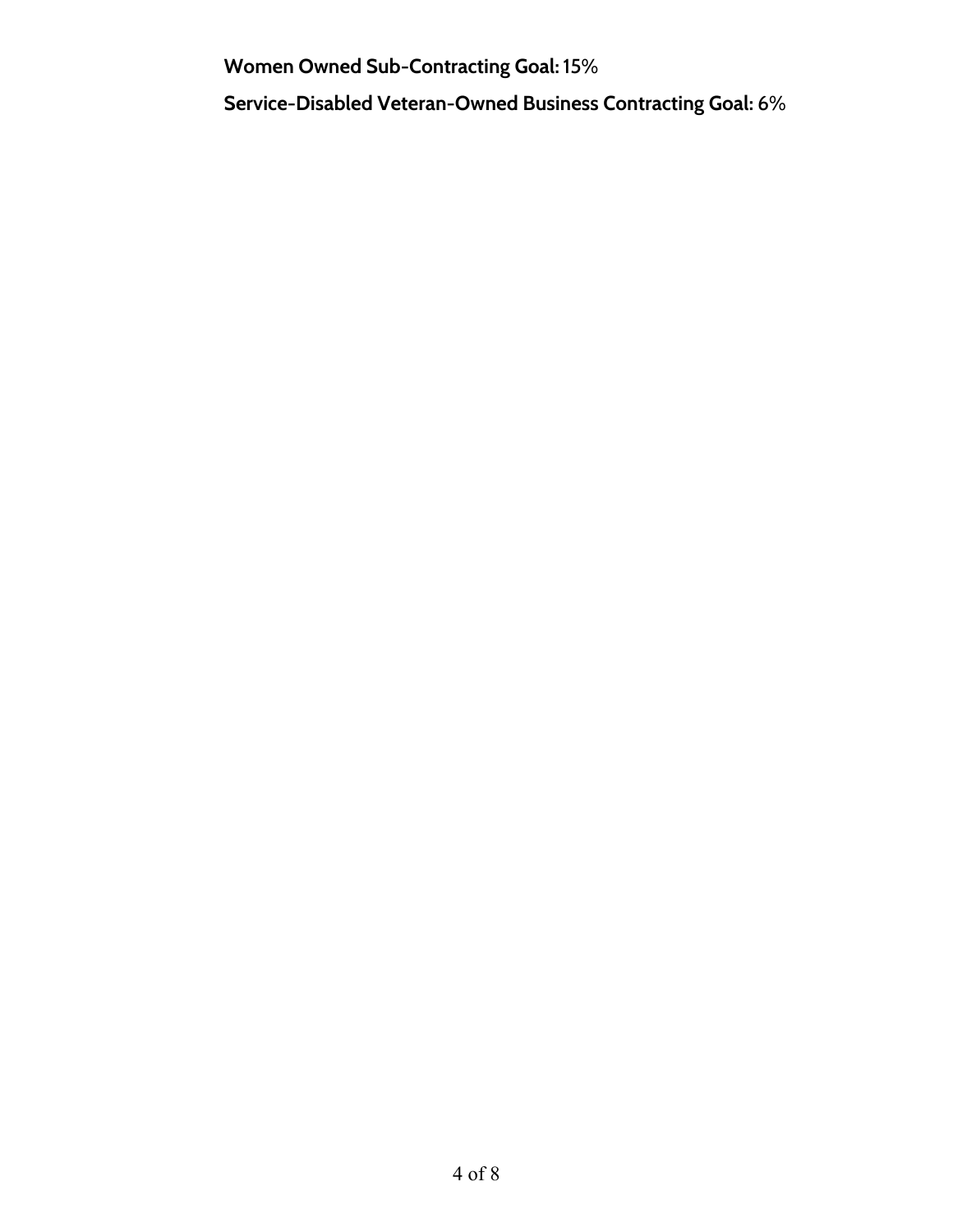**Women Owned Sub-Contracting Goal:** 15%

**Service-Disabled Veteran-Owned Business Contracting Goal:** 6%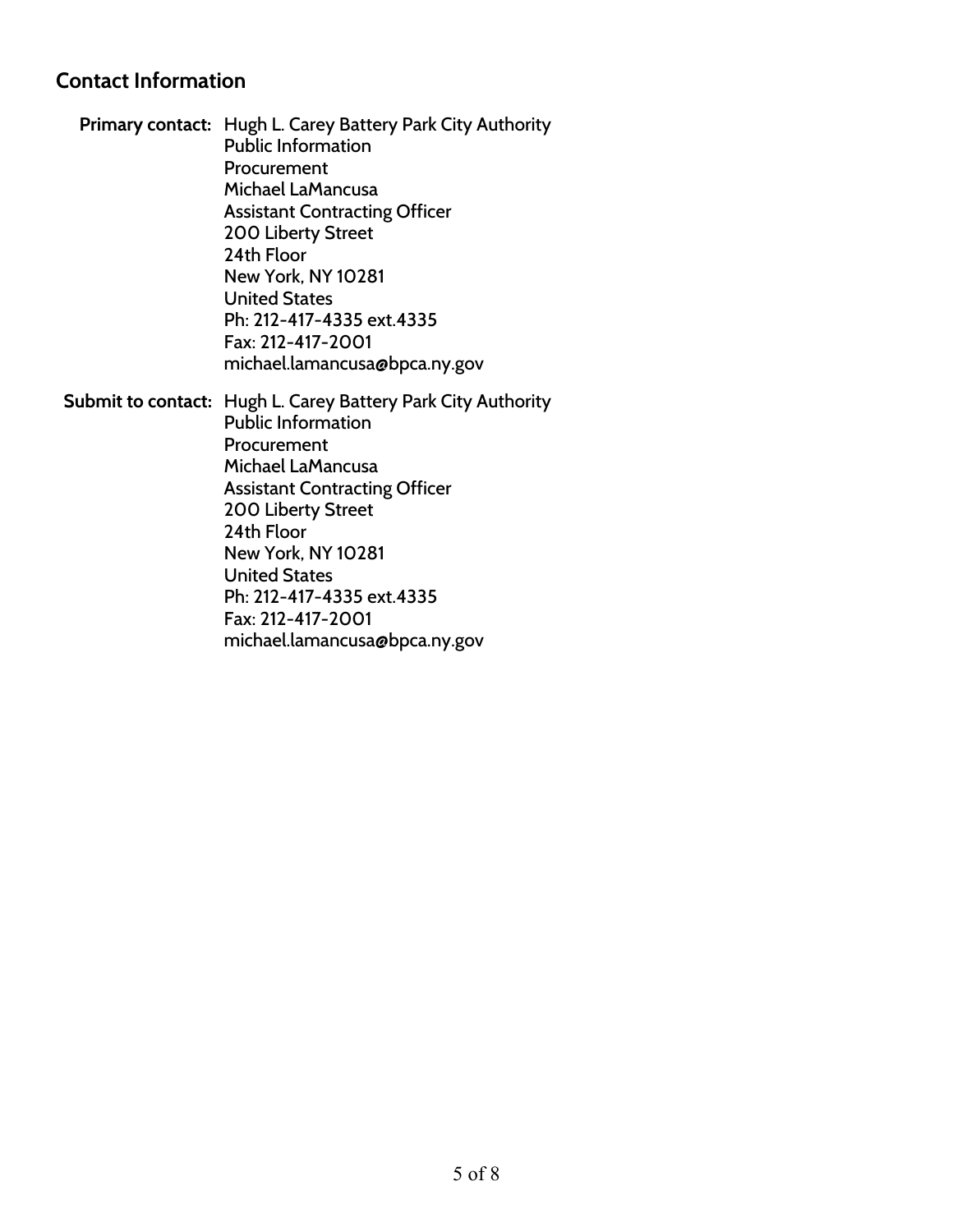### **Contact Information**

**Primary contact:** Hugh L. Carey Battery Park City Authority Public Information Procurement Michael LaMancusa Assistant Contracting Officer 200 Liberty Street 24th Floor New York, NY 10281 United States Ph: 212-417-4335 ext.4335 Fax: 212-417-2001 michael.lamancusa@bpca.ny.gov

**Submit to contact:** Hugh L. Carey Battery Park City Authority Public Information Procurement Michael LaMancusa Assistant Contracting Officer 200 Liberty Street 24th Floor New York, NY 10281 United States Ph: 212-417-4335 ext.4335 Fax: 212-417-2001 michael.lamancusa@bpca.ny.gov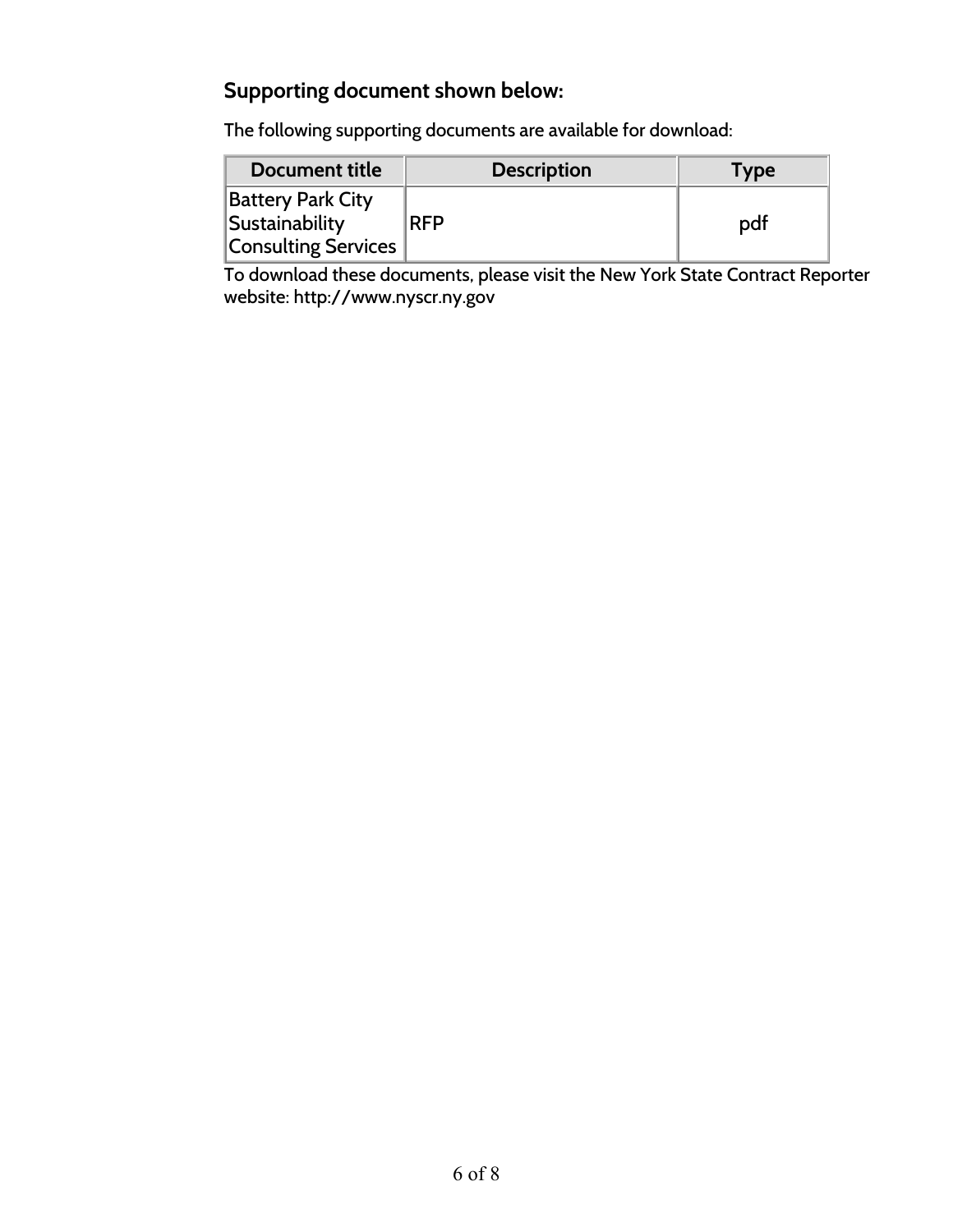# **Supporting document shown below:**

The following supporting documents are available for download:

| Document title                                                           | <b>Description</b> | <b>Type</b> |
|--------------------------------------------------------------------------|--------------------|-------------|
| <b>Battery Park City</b><br>Sustainability<br><b>Consulting Services</b> | <b>RFP</b>         | pdf         |

To download these documents, please visit the New York State Contract Reporter website: http://www.nyscr.ny.gov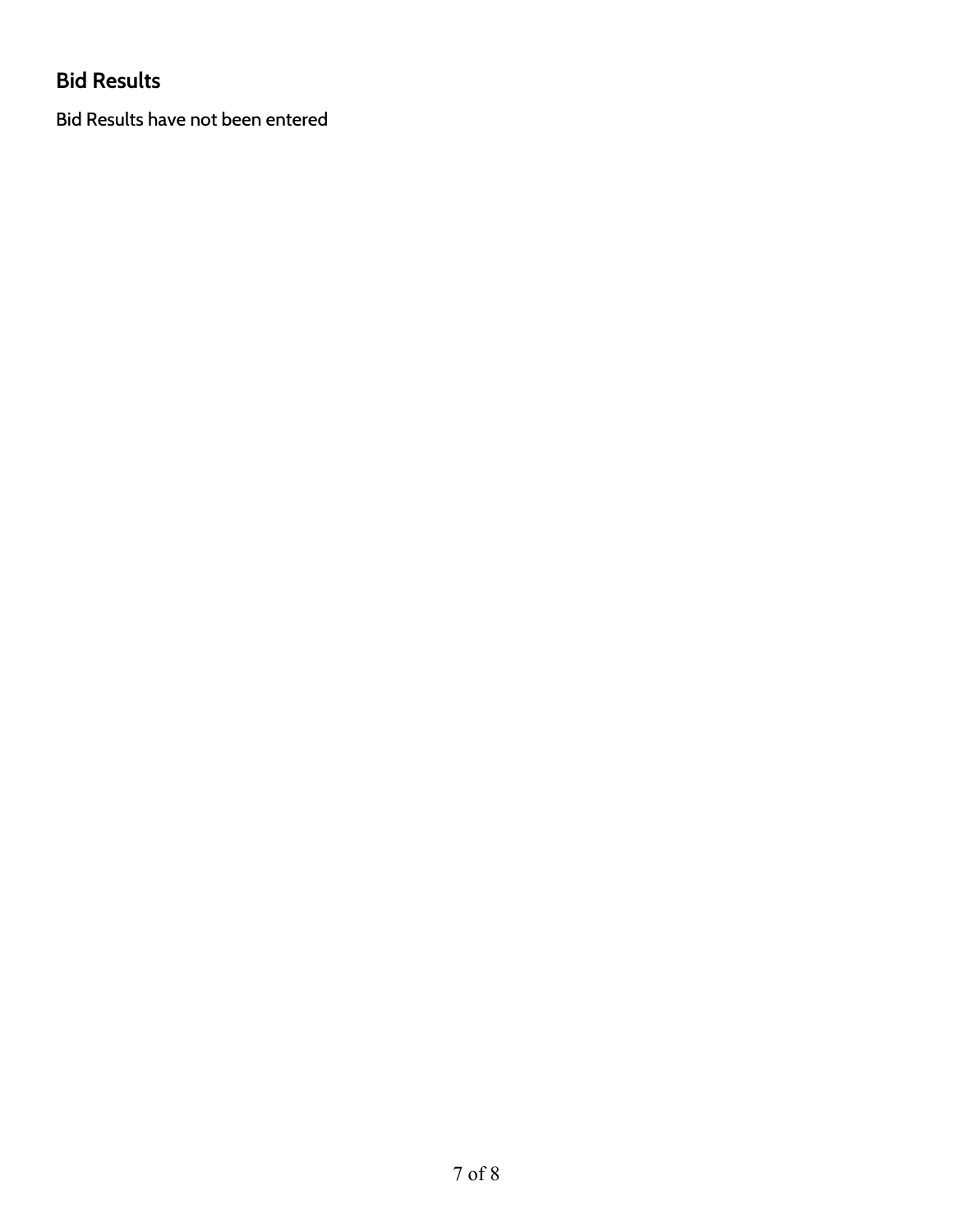# **Bid Results**

Bid Results have not been entered